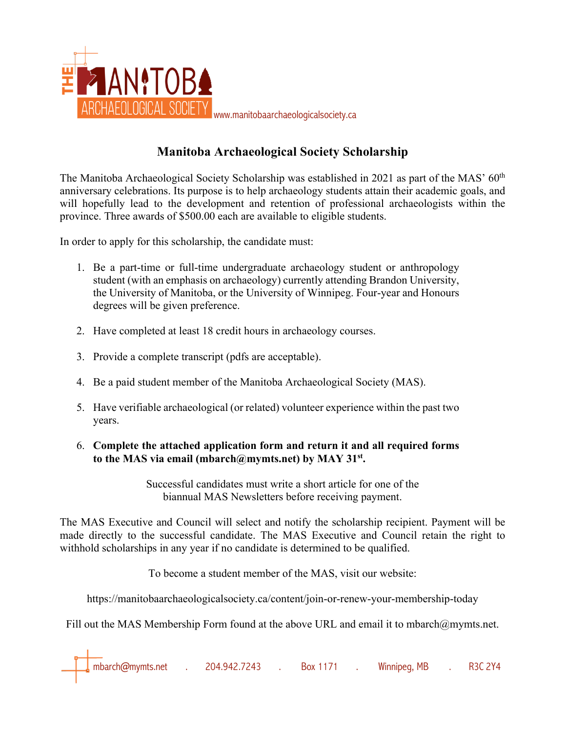

## **Manitoba Archaeological Society Scholarship**

The Manitoba Archaeological Society Scholarship was established in 2021 as part of the MAS' 60<sup>th</sup> anniversary celebrations. Its purpose is to help archaeology students attain their academic goals, and will hopefully lead to the development and retention of professional archaeologists within the province. Three awards of \$500.00 each are available to eligible students.

In order to apply for this scholarship, the candidate must:

- 1. Be a part-time or full-time undergraduate archaeology student or anthropology student (with an emphasis on archaeology) currently attending Brandon University, the University of Manitoba, or the University of Winnipeg. Four-year and Honours degrees will be given preference.
- 2. Have completed at least 18 credit hours in archaeology courses.
- 3. Provide a complete transcript (pdfs are acceptable).
- 4. Be a paid student member of the Manitoba Archaeological Society (MAS).
- 5. Have verifiable archaeological (or related) volunteer experience within the past two years.
- 6. **Complete the attached application form and return it and all required forms to the MAS via email (mbarch@mymts.net) by MAY 31st.**

Successful candidates must write a short article for one of the biannual MAS Newsletters before receiving payment.

The MAS Executive and Council will select and notify the scholarship recipient. Payment will be made directly to the successful candidate. The MAS Executive and Council retain the right to withhold scholarships in any year if no candidate is determined to be qualified.

To become a student member of the MAS, visit our website:

https://manitobaarchaeologicalsociety.ca/content/join-or-renew-your-membership-today

Fill out the MAS Membership Form found at the above URL and email it to mbarch@mymts.net.